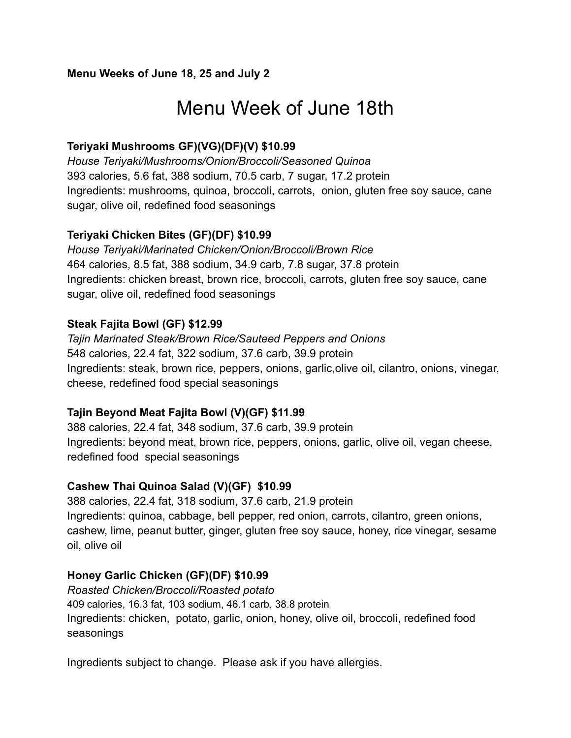### **Menu Weeks of June 18, 25 and July 2**

# Menu Week of June 18th

## **Teriyaki Mushrooms GF)(VG)(DF)(V) \$10.99**

*House Teriyaki/Mushrooms/Onion/Broccoli/Seasoned Quinoa* 393 calories, 5.6 fat, 388 sodium, 70.5 carb, 7 sugar, 17.2 protein Ingredients: mushrooms, quinoa, broccoli, carrots, onion, gluten free soy sauce, cane sugar, olive oil, redefined food seasonings

### **Teriyaki Chicken Bites (GF)(DF) \$10.99**

*House Teriyaki/Marinated Chicken/Onion/Broccoli/Brown Rice* 464 calories, 8.5 fat, 388 sodium, 34.9 carb, 7.8 sugar, 37.8 protein Ingredients: chicken breast, brown rice, broccoli, carrots, gluten free soy sauce, cane sugar, olive oil, redefined food seasonings

### **Steak Fajita Bowl (GF) \$12.99**

*Tajin Marinated Steak/Brown Rice/Sauteed Peppers and Onions* 548 calories, 22.4 fat, 322 sodium, 37.6 carb, 39.9 protein Ingredients: steak, brown rice, peppers, onions, garlic,olive oil, cilantro, onions, vinegar, cheese, redefined food special seasonings

### **Tajin Beyond Meat Fajita Bowl (V)(GF) \$11.99**

388 calories, 22.4 fat, 348 sodium, 37.6 carb, 39.9 protein Ingredients: beyond meat, brown rice, peppers, onions, garlic, olive oil, vegan cheese, redefined food special seasonings

### **Cashew Thai Quinoa Salad (V)(GF) \$10.99**

388 calories, 22.4 fat, 318 sodium, 37.6 carb, 21.9 protein Ingredients: quinoa, cabbage, bell pepper, red onion, carrots, cilantro, green onions, cashew, lime, peanut butter, ginger, gluten free soy sauce, honey, rice vinegar, sesame oil, olive oil

## **Honey Garlic Chicken (GF)(DF) \$10.99**

*Roasted Chicken/Broccoli/Roasted potato* 409 calories, 16.3 fat, 103 sodium, 46.1 carb, 38.8 protein Ingredients: chicken, potato, garlic, onion, honey, olive oil, broccoli, redefined food seasonings

Ingredients subject to change. Please ask if you have allergies.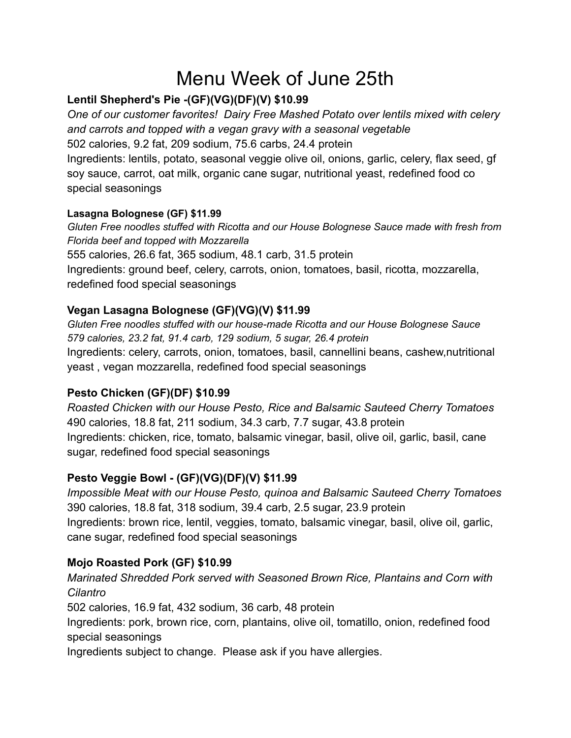# Menu Week of June 25th

# **Lentil Shepherd's Pie -(GF)(VG)(DF)(V) \$10.99**

*One of our customer favorites! Dairy Free Mashed Potato over lentils mixed with celery and carrots and topped with a vegan gravy with a seasonal vegetable* 502 calories, 9.2 fat, 209 sodium, 75.6 carbs, 24.4 protein Ingredients: lentils, potato, seasonal veggie olive oil, onions, garlic, celery, flax seed, gf soy sauce, carrot, oat milk, organic cane sugar, nutritional yeast, redefined food co special seasonings

### **Lasagna Bolognese (GF) \$11.99**

*Gluten Free noodles stuffed with Ricotta and our House Bolognese Sauce made with fresh from Florida beef and topped with Mozzarella* 555 calories, 26.6 fat, 365 sodium, 48.1 carb, 31.5 protein Ingredients: ground beef, celery, carrots, onion, tomatoes, basil, ricotta, mozzarella, redefined food special seasonings

# **Vegan Lasagna Bolognese (GF)(VG)(V) \$11.99**

*Gluten Free noodles stuffed with our house-made Ricotta and our House Bolognese Sauce 579 calories, 23.2 fat, 91.4 carb, 129 sodium, 5 sugar, 26.4 protein* Ingredients: celery, carrots, onion, tomatoes, basil, cannellini beans, cashew,nutritional yeast , vegan mozzarella, redefined food special seasonings

# **Pesto Chicken (GF)(DF) \$10.99**

*Roasted Chicken with our House Pesto, Rice and Balsamic Sauteed Cherry Tomatoes* 490 calories, 18.8 fat, 211 sodium, 34.3 carb, 7.7 sugar, 43.8 protein Ingredients: chicken, rice, tomato, balsamic vinegar, basil, olive oil, garlic, basil, cane sugar, redefined food special seasonings

# **Pesto Veggie Bowl - (GF)(VG)(DF)(V) \$11.99**

*Impossible Meat with our House Pesto, quinoa and Balsamic Sauteed Cherry Tomatoes* 390 calories, 18.8 fat, 318 sodium, 39.4 carb, 2.5 sugar, 23.9 protein Ingredients: brown rice, lentil, veggies, tomato, balsamic vinegar, basil, olive oil, garlic, cane sugar, redefined food special seasonings

## **Mojo Roasted Pork (GF) \$10.99**

*Marinated Shredded Pork served with Seasoned Brown Rice, Plantains and Corn with Cilantro*

502 calories, 16.9 fat, 432 sodium, 36 carb, 48 protein

Ingredients: pork, brown rice, corn, plantains, olive oil, tomatillo, onion, redefined food special seasonings

Ingredients subject to change. Please ask if you have allergies.